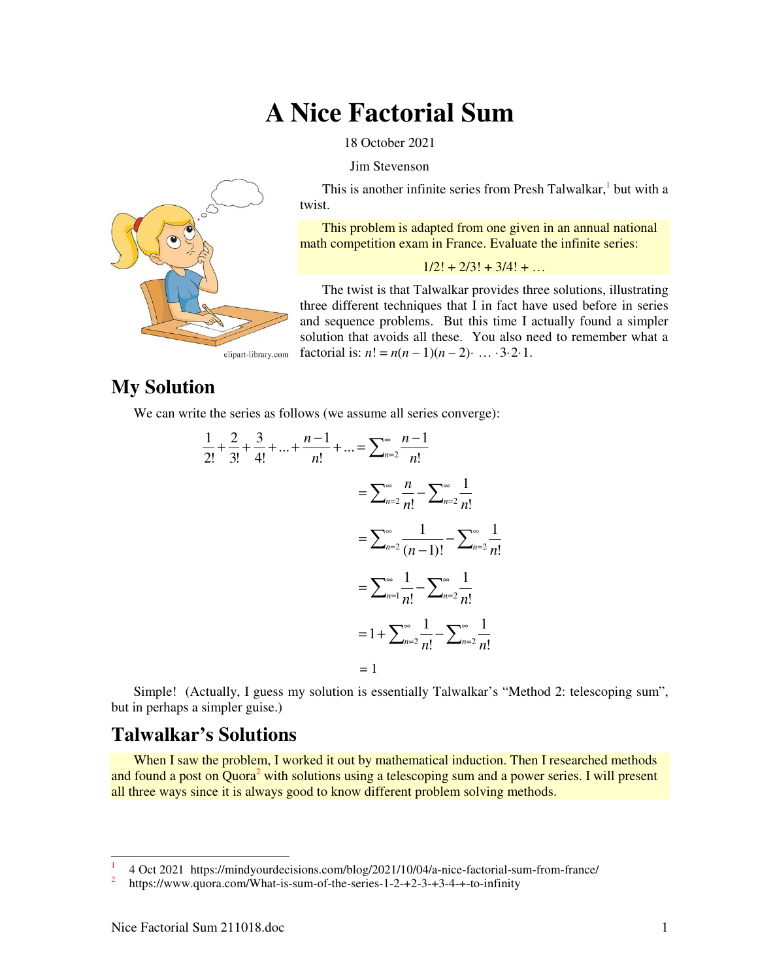# **A Nice Factorial Sum**

18 October 2021

Jim Stevenson



This is another infinite series from Presh Talwalkar,<sup>1</sup> but with a twist.

This problem is adapted from one given in an annual national math competition exam in France. Evaluate the infinite series:

#### $1/2! + 2/3! + 3/4! + ...$

The twist is that Talwalkar provides three solutions, illustrating three different techniques that I in fact have used before in series and sequence problems. But this time I actually found a simpler solution that avoids all these. You also need to remember what a factorial is:  $n! = n(n-1)(n-2)$  … · 3·2·1.

## **My Solution**

We can write the series as follows (we assume all series converge):

$$
\frac{1}{2!} + \frac{2}{3!} + \frac{3}{4!} + \dots + \frac{n-1}{n!} + \dots = \sum_{n=2}^{\infty} \frac{n-1}{n!}
$$

$$
= \sum_{n=2}^{\infty} \frac{n}{n!} - \sum_{n=2}^{\infty} \frac{1}{n!}
$$

$$
= \sum_{n=2}^{\infty} \frac{1}{(n-1)!} - \sum_{n=2}^{\infty} \frac{1}{n!}
$$

$$
= \sum_{n=1}^{\infty} \frac{1}{n!} - \sum_{n=2}^{\infty} \frac{1}{n!}
$$

$$
= 1 + \sum_{n=2}^{\infty} \frac{1}{n!} - \sum_{n=2}^{\infty} \frac{1}{n!}
$$

$$
= 1
$$

Simple! (Actually, I guess my solution is essentially Talwalkar's "Method 2: telescoping sum", but in perhaps a simpler guise.)

### **Talwalkar's Solutions**

When I saw the problem, I worked it out by mathematical induction. Then I researched methods and found a post on Quora<sup>2</sup> with solutions using a telescoping sum and a power series. I will present all three ways since it is always good to know different problem solving methods.

<u>.</u>

<sup>1</sup> 4 Oct 2021 https://mindyourdecisions.com/blog/2021/10/04/a-nice-factorial-sum-from-france/

<sup>2</sup> https://www.quora.com/What-is-sum-of-the-series-1-2-+2-3-+3-4-+-to-infinity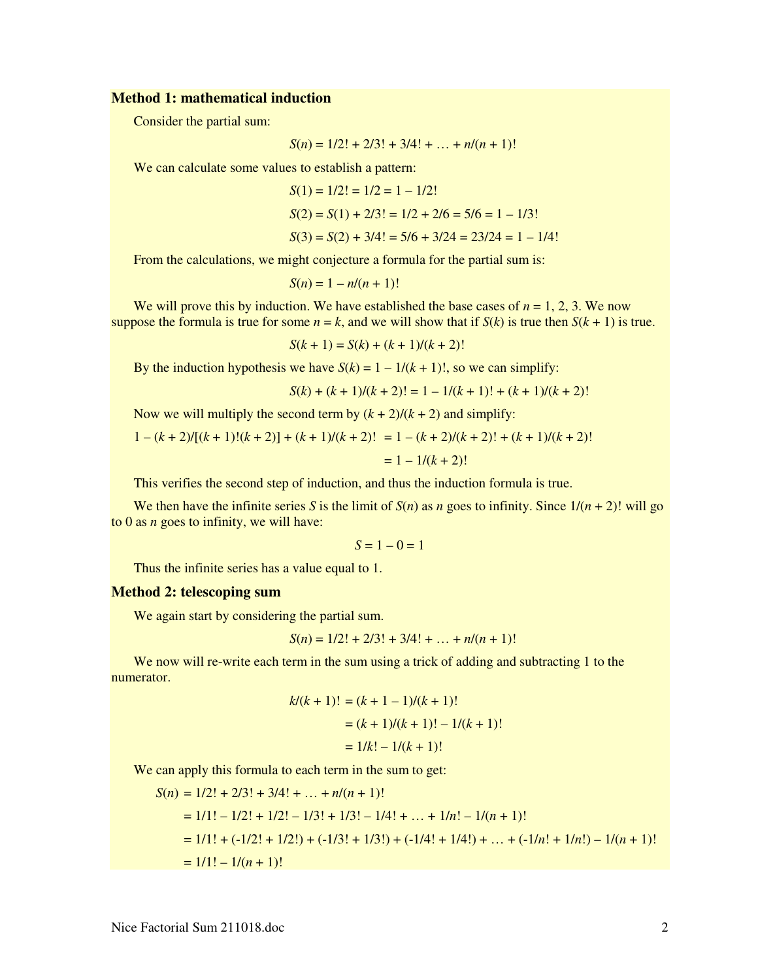#### **Method 1: mathematical induction**

Consider the partial sum:

$$
S(n) = 1/2! + 2/3! + 3/4! + \dots + n/(n+1)!
$$

We can calculate some values to establish a pattern:

$$
S(1) = 1/2! = 1/2 = 1 - 1/2!
$$
  
\n
$$
S(2) = S(1) + 2/3! = 1/2 + 2/6 = 5/6 = 1 - 1/3!
$$
  
\n
$$
S(3) = S(2) + 3/4! = 5/6 + 3/24 = 23/24 = 1 - 1/4!
$$

From the calculations, we might conjecture a formula for the partial sum is:

$$
S(n) = 1 - n/(n+1)!
$$

We will prove this by induction. We have established the base cases of  $n = 1, 2, 3$ . We now suppose the formula is true for some  $n = k$ , and we will show that if  $S(k)$  is true then  $S(k + 1)$  is true.

$$
S(k + 1) = S(k) + (k + 1)/(k + 2)!
$$

By the induction hypothesis we have  $S(k) = 1 - 1/(k + 1)!$ , so we can simplify:

$$
S(k) + (k+1)/(k+2)! = 1 - 1/(k+1)! + (k+1)/(k+2)!
$$

Now we will multiply the second term by  $(k + 2)/(k + 2)$  and simplify:

$$
1 - (k+2)/[(k+1)!(k+2)] + (k+1)/(k+2)! = 1 - (k+2)/(k+2)! + (k+1)/(k+2)!
$$
  
= 1 - 1/(k+2)!

This verifies the second step of induction, and thus the induction formula is true.

We then have the infinite series *S* is the limit of  $S(n)$  as *n* goes to infinity. Since  $1/(n+2)!$  will go to 0 as *n* goes to infinity, we will have:

$$
S=1-0=1
$$

Thus the infinite series has a value equal to 1.

#### **Method 2: telescoping sum**

We again start by considering the partial sum.

$$
S(n) = 1/2! + 2/3! + 3/4! + \dots + n/(n+1)!
$$

We now will re-write each term in the sum using a trick of adding and subtracting 1 to the numerator.

$$
k/(k+1)! = (k+1-1)/(k+1)!
$$
  
=  $(k+1)/(k+1)! - 1/(k+1)!$   
=  $1/k! - 1/(k+1)!$ 

We can apply this formula to each term in the sum to get:

$$
S(n) = 1/2! + 2/3! + 3/4! + \dots + n/(n + 1)!
$$
  
= 1/1! - 1/2! + 1/2! - 1/3! + 1/3! - 1/4! + \dots + 1/n! - 1/(n + 1)!  
= 1/1! + (-1/2! + 1/2!) + (-1/3! + 1/3!) + (-1/4! + 1/4!) + \dots + (-1/n! + 1/n!) - 1/(n + 1)!  
= 1/1! - 1/(n + 1)!